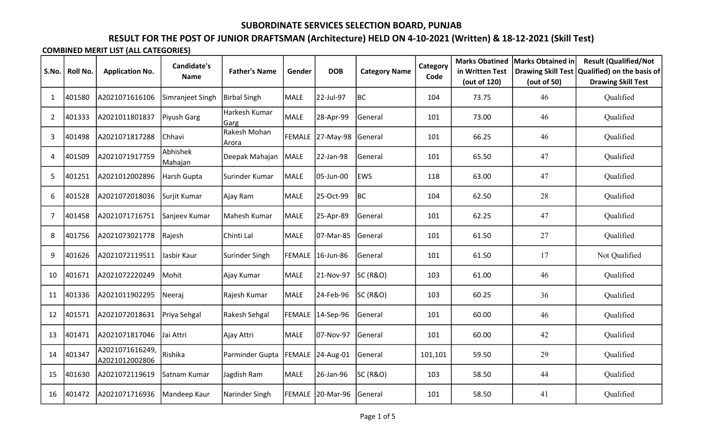# RESULT FOR THE POST OF JUNIOR DRAFTSMAN (Architecture) HELD ON 4-10-2021 (Written) & 18-12-2021 (Skill Test)

|                |                 |                                   | <b>Candidate's</b>  |                       |               |                   |                      | Category<br>Code<br>104<br>101<br>101<br>101<br>118<br>104<br>101<br>101<br>101<br>103 | <b>Marks Obatined</b>           | <b>Marks Obtained in</b>                 | <b>Result (Qualified/Not</b>                            |
|----------------|-----------------|-----------------------------------|---------------------|-----------------------|---------------|-------------------|----------------------|----------------------------------------------------------------------------------------|---------------------------------|------------------------------------------|---------------------------------------------------------|
| S.No.          | <b>Roll No.</b> | <b>Application No.</b>            | <b>Name</b>         | <b>Father's Name</b>  | Gender        | <b>DOB</b>        | <b>Category Name</b> |                                                                                        | in Written Test<br>(out of 120) | <b>Drawing Skill Test</b><br>(out of 50) | Qualified) on the basis of<br><b>Drawing Skill Test</b> |
|                |                 |                                   |                     |                       |               |                   |                      |                                                                                        |                                 |                                          |                                                         |
| $\mathbf{1}$   | 401580          | A2021071616106                    | Simranjeet Singh    | <b>Birbal Singh</b>   | MALE          | 22-Jul-97         | <b>BC</b>            |                                                                                        | 73.75                           | 46                                       | Qualified                                               |
| $\overline{2}$ | 401333          | A2021011801837                    | Piyush Garg         | Harkesh Kumar<br>Garg | <b>MALE</b>   | 28-Apr-99         | General              |                                                                                        | 73.00                           | 46                                       | Qualified                                               |
| 3              | 401498          | A2021071817288                    | Chhavi              | Rakesh Mohan<br>Arora | <b>FEMALE</b> | 27-May-98 General |                      |                                                                                        | 66.25                           | 46                                       | Qualified                                               |
| 4              | 401509          | A2021071917759                    | Abhishek<br>Mahajan | Deepak Mahajan        | <b>MALE</b>   | 22-Jan-98         | General              |                                                                                        | 65.50                           | 47                                       | Qualified                                               |
| 5              | 401251          | A2021012002896                    | Harsh Gupta         | Surinder Kumar        | MALE          | 05-Jun-00         | <b>EWS</b>           |                                                                                        | 63.00                           | 47                                       | Qualified                                               |
| 6              | 401528          | A2021072018036                    | Surjit Kumar        | Ajay Ram              | MALE          | 25-Oct-99         | BC                   |                                                                                        | 62.50                           | 28                                       | Qualified                                               |
| 7              | 401458          | A2021071716751                    | Sanjeev Kumar       | Mahesh Kumar          | <b>MALE</b>   | 25-Apr-89         | General              |                                                                                        | 62.25                           | 47                                       | Qualified                                               |
| 8              | 401756          | A2021073021778                    | Rajesh              | Chinti Lal            | MALE          | 07-Mar-85         | General              |                                                                                        | 61.50                           | 27                                       | Qualified                                               |
| 9              | 401626          | A2021072119511                    | Jasbir Kaur         | Surinder Singh        |               | FEMALE 16-Jun-86  | General              |                                                                                        | 61.50                           | 17                                       | Not Qualified                                           |
| 10             | 401671          | A2021072220249                    | Mohit               | Ajay Kumar            | <b>MALE</b>   | 21-Nov-97         | SC(R&O)              |                                                                                        | 61.00                           | 46                                       | Qualified                                               |
| 11             | 401336          | A2021011902295                    | Neeraj              | Rajesh Kumar          | MALE          | 24-Feb-96         | <b>SC (R&amp;O)</b>  | 103                                                                                    | 60.25                           | 36                                       | Qualified                                               |
| 12             | 401571          | A2021072018631                    | Priya Sehgal        | Rakesh Sehgal         | FEMALE        | 14-Sep-96         | General              | 101                                                                                    | 60.00                           | 46                                       | Qualified                                               |
| 13             | 401471          | A2021071817046                    | Jai Attri           | Ajay Attri            | MALE          | 07-Nov-97         | General              | 101                                                                                    | 60.00                           | 42                                       | Qualified                                               |
| 14             | 401347          | A2021071616249,<br>A2021012002806 | Rishika             | Parminder Gupta       | <b>FEMALE</b> | 24-Aug-01         | General              | 101,101                                                                                | 59.50                           | 29                                       | Qualified                                               |
| 15             | 401630          | A2021072119619                    | Satnam Kumar        | Jagdish Ram           | MALE          | 26-Jan-96         | <b>SC (R&amp;O)</b>  | 103                                                                                    | 58.50                           | 44                                       | Qualified                                               |
| 16             | 401472          | A2021071716936                    | Mandeep Kaur        | Narinder Singh        | <b>FEMALE</b> | 20-Mar-96         | General              | 101                                                                                    | 58.50                           | 41                                       | Qualified                                               |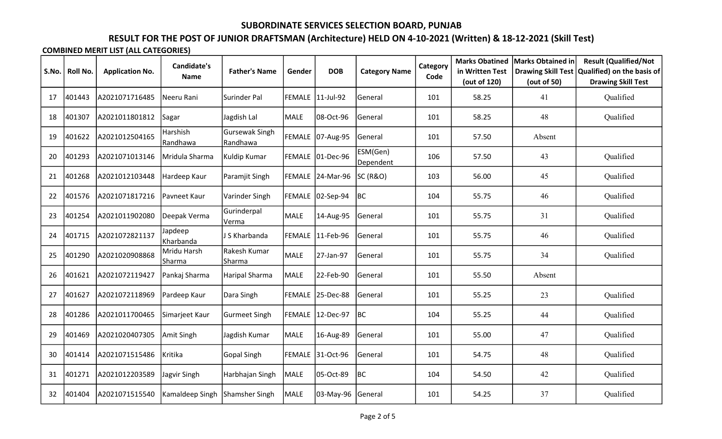# RESULT FOR THE POST OF JUNIOR DRAFTSMAN (Architecture) HELD ON 4-10-2021 (Written) & 18-12-2021 (Skill Test)

|       |          |                        | <b>Candidate's</b>    |                            |        |                   |                       | Category<br>Code | <b>Marks Obatined</b>           | Marks Obtained in | <b>Result (Qualified/Not</b>                                                 |
|-------|----------|------------------------|-----------------------|----------------------------|--------|-------------------|-----------------------|------------------|---------------------------------|-------------------|------------------------------------------------------------------------------|
| S.No. | Roll No. | <b>Application No.</b> | <b>Name</b>           | <b>Father's Name</b>       | Gender | <b>DOB</b>        | <b>Category Name</b>  |                  | in Written Test<br>(out of 120) | (out of 50)       | Drawing Skill Test   Qualified) on the basis of<br><b>Drawing Skill Test</b> |
| 17    | 401443   | A2021071716485         | Neeru Rani            | Surinder Pal               |        | FEMALE 11-Jul-92  | General               | 101              | 58.25                           | 41                | Qualified                                                                    |
| 18    | 401307   | A2021011801812         | Sagar                 | Jagdish Lal                | MALE   | 08-Oct-96         | General               | 101              | 58.25                           | 48                | Qualified                                                                    |
| 19    | 401622   | A2021012504165         | Harshish<br>Randhawa  | Gursewak Singh<br>Randhawa |        | FEMALE 07-Aug-95  | General               | 101              | 57.50                           | Absent            |                                                                              |
| 20    | 401293   | A2021071013146         | Mridula Sharma        | Kuldip Kumar               | FEMALE | $ 01 - Dec-96 $   | ESM(Gen)<br>Dependent | 106              | 57.50                           | 43                | Qualified                                                                    |
| 21    | 401268   | A2021012103448         | Hardeep Kaur          | Paramjit Singh             |        | FEMALE 24-Mar-96  | SC(R&O)               | 103              | 56.00                           | 45                | Qualified                                                                    |
| 22    | 401576   | A2021071817216         | Pavneet Kaur          | Varinder Singh             | FEMALE | $ 02-Sep-94 $ BC  |                       | 104              | 55.75                           | 46                | Qualified                                                                    |
| 23    | 401254   | A2021011902080         | Deepak Verma          | Gurinderpal<br>Verma       | MALE   | 14-Aug-95         | General               | 101              | 55.75                           | 31                | Qualified                                                                    |
| 24    | 401715   | A2021072821137         | Japdeep<br>Kharbanda  | J S Kharbanda              | FEMALE | 11-Feb-96         | General               | 101              | 55.75                           | 46                | Qualified                                                                    |
| 25    | 401290   | A2021020908868         | Mridu Harsh<br>Sharma | Rakesh Kumar<br> Sharma    | MALE   | 27-Jan-97         | General               | 101              | 55.75                           | 34                | Qualified                                                                    |
| 26    | 401621   | A2021072119427         | Pankaj Sharma         | Haripal Sharma             | MALE   | 22-Feb-90         | General               | 101              | 55.50                           | Absent            |                                                                              |
| 27    | 401627   | A2021072118969         | Pardeep Kaur          | Dara Singh                 |        | FEMALE 25-Dec-88  | General               | 101              | 55.25                           | 23                | Qualified                                                                    |
| 28    | 401286   | A2021011700465         | Simarjeet Kaur        | <b>Gurmeet Singh</b>       | FEMALE | 12-Dec-97         | BC                    | 104              | 55.25                           | 44                | Qualified                                                                    |
| 29    | 401469   | A2021020407305         | Amit Singh            | Jagdish Kumar              | MALE   | 16-Aug-89         | General               | 101              | 55.00                           | 47                | Qualified                                                                    |
| 30    | 401414   | A2021071515486         | Kritika               | Gopal Singh                | FEMALE | 31-Oct-96         | General               | 101              | 54.75                           | 48                | Qualified                                                                    |
| 31    | 401271   | A2021012203589         | Jagvir Singh          | Harbhajan Singh            | MALE   | 05-Oct-89         | BC                    | 104              | 54.50                           | 42                | Qualified                                                                    |
| 32    | 401404   | A2021071515540         | Kamaldeep Singh       | Shamsher Singh             | MALE   | 03-May-96 General |                       | 101              | 54.25                           | 37                | Qualified                                                                    |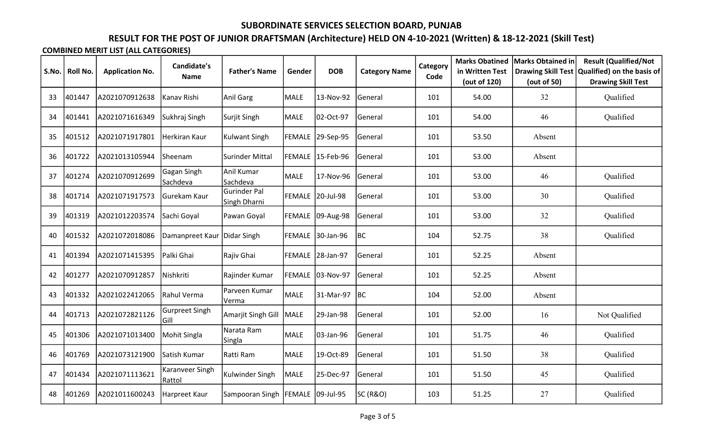# RESULT FOR THE POST OF JUNIOR DRAFTSMAN (Architecture) HELD ON 4-10-2021 (Written) & 18-12-2021 (Skill Test)

| S.No. | Roll No. | <b>Application No.</b> | <b>Candidate's</b>            | <b>Father's Name</b>                | Gender        | <b>DOB</b>       | <b>Category Name</b> | Category | <b>Marks Obatined</b><br>in Written Test | Marks Obtained in | <b>Result (Qualified/Not</b><br>Drawing Skill Test   Qualified) on the basis of |
|-------|----------|------------------------|-------------------------------|-------------------------------------|---------------|------------------|----------------------|----------|------------------------------------------|-------------------|---------------------------------------------------------------------------------|
|       |          |                        | <b>Name</b>                   |                                     |               |                  |                      | Code     | (out of 120)                             | (out of 50)       | <b>Drawing Skill Test</b>                                                       |
| 33    | 401447   | A2021070912638         | Kanav Rishi                   | Anil Garg                           | MALE          | 13-Nov-92        | <b>General</b>       | 101      | 54.00                                    | 32                | Qualified                                                                       |
| 34    | 401441   | A2021071616349         | Sukhraj Singh                 | Surjit Singh                        | MALE          | 02-Oct-97        | General              | 101      | 54.00                                    | 46                | Qualified                                                                       |
| 35    | 401512   | A2021071917801         | Herkiran Kaur                 | Kulwant Singh                       | FEMALE        | 29-Sep-95        | General              | 101      | 53.50                                    | Absent            |                                                                                 |
| 36    | 401722   | A2021013105944         | Sheenam                       | Surinder Mittal                     | FEMALE        | 15-Feb-96        | General              | 101      | 53.00                                    | Absent            |                                                                                 |
| 37    | 401274   | A2021070912699         | Gagan Singh<br>Sachdeva       | Anil Kumar<br>Sachdeva              | MALE          | 17-Nov-96        | General              | 101      | 53.00                                    | 46                | Qualified                                                                       |
| 38    | 401714   | A2021071917573         | Gurekam Kaur                  | <b>Gurinder Pal</b><br>Singh Dharni | FEMALE        | 20-Jul-98        | General              | 101      | 53.00                                    | 30                | Qualified                                                                       |
| 39    | 401319   | A2021012203574         | Sachi Goyal                   | Pawan Goyal                         | FEMALE        | 09-Aug-98        | General              | 101      | 53.00                                    | 32                | Qualified                                                                       |
| 40    | 401532   | A2021072018086         | Damanpreet Kaur Didar Singh   |                                     | <b>FEMALE</b> | 30-Jan-96        | <b>BC</b>            | 104      | 52.75                                    | 38                | Qualified                                                                       |
| 41    | 401394   | A2021071415395         | Palki Ghai                    | Rajiv Ghai                          |               | FEMALE 28-Jan-97 | General              | 101      | 52.25                                    | Absent            |                                                                                 |
| 42    | 401277   | A2021070912857         | Nishkriti                     | Rajinder Kumar                      | FEMALE        | 03-Nov-97        | General              | 101      | 52.25                                    | Absent            |                                                                                 |
| 43    | 401332   | A2021022412065         | Rahul Verma                   | Parveen Kumar<br>Verma              | <b>MALE</b>   | 31-Mar-97 BC     |                      | 104      | 52.00                                    | Absent            |                                                                                 |
| 44    | 401713   | A2021072821126         | <b>Gurpreet Singh</b><br>Gill | Amarjit Singh Gill                  | MALE          | 29-Jan-98        | General              | 101      | 52.00                                    | 16                | Not Qualified                                                                   |
| 45    | 401306   | A2021071013400         | Mohit Singla                  | Narata Ram<br>Singla                | MALE          | 03-Jan-96        | General              | 101      | 51.75                                    | 46                | Qualified                                                                       |
| 46    | 401769   | A2021073121900         | Satish Kumar                  | Ratti Ram                           | MALE          | 19-Oct-89        | General              | 101      | 51.50                                    | 38                | Qualified                                                                       |
| 47    | 401434   | A2021071113621         | Karanveer Singh<br>Rattol     | Kulwinder Singh                     | <b>MALE</b>   | 25-Dec-97        | <b>General</b>       | 101      | 51.50                                    | 45                | Qualified                                                                       |
| 48    | 401269   | A2021011600243         | Harpreet Kaur                 | Sampooran Singh                     | FEMALE        | 09-Jul-95        | <b>SC (R&amp;O)</b>  | 103      | 51.25                                    | 27                | Qualified                                                                       |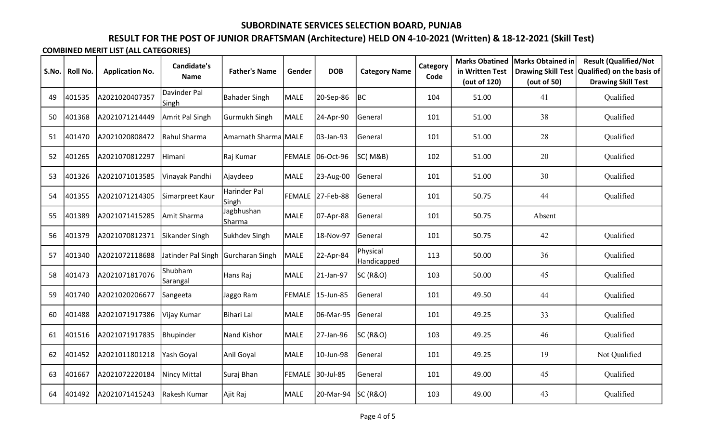# RESULT FOR THE POST OF JUNIOR DRAFTSMAN (Architecture) HELD ON 4-10-2021 (Written) & 18-12-2021 (Skill Test)

| S.No. | Roll No. | <b>Application No.</b> | <b>Candidate's</b>                 | <b>Father's Name</b>  | Gender | <b>DOB</b>       | <b>Category Name</b>    | Category | <b>Marks Obatined</b><br>in Written Test | Marks Obtained in<br><b>Drawing Skill Test</b> | <b>Result (Qualified/Not</b><br>Qualified) on the basis of |
|-------|----------|------------------------|------------------------------------|-----------------------|--------|------------------|-------------------------|----------|------------------------------------------|------------------------------------------------|------------------------------------------------------------|
|       |          |                        | <b>Name</b>                        |                       |        |                  |                         | Code     | (out of 120)                             | (out of 50)                                    | <b>Drawing Skill Test</b>                                  |
| 49    | 401535   | A2021020407357         | Davinder Pal<br>Singh              | <b>Bahader Singh</b>  | MALE   | 20-Sep-86        | BC                      | 104      | 51.00                                    | 41                                             | Qualified                                                  |
| 50    | 401368   | A2021071214449         | Amrit Pal Singh                    | Gurmukh Singh         | MALE   | 24-Apr-90        | General                 | 101      | 51.00                                    | 38                                             | Qualified                                                  |
| 51    | 401470   | A2021020808472         | Rahul Sharma                       | Amarnath Sharma MALE  |        | 03-Jan-93        | General                 | 101      | 51.00                                    | 28                                             | Qualified                                                  |
| 52    | 401265   | A2021070812297         | Himani                             | Raj Kumar             | FEMALE | 06-Oct-96        | <b>SC(M&amp;B)</b>      | 102      | 51.00                                    | 20                                             | Qualified                                                  |
| 53    | 401326   | A2021071013585         | Vinayak Pandhi                     | Ajaydeep              | MALE   | 23-Aug-00        | General                 | 101      | 51.00                                    | 30                                             | Qualified                                                  |
| 54    | 401355   | A2021071214305         | Simarpreet Kaur                    | Harinder Pal<br>Singh | FEMALE | 27-Feb-88        | General                 | 101      | 50.75                                    | 44                                             | Qualified                                                  |
| 55    | 401389   | A2021071415285         | Amit Sharma                        | Jagbhushan<br>Sharma  | MALE   | 07-Apr-88        | General                 | 101      | 50.75                                    | Absent                                         |                                                            |
| 56    | 401379   | A2021070812371         | Sikander Singh                     | Sukhdev Singh         | MALE   | 18-Nov-97        | General                 | 101      | 50.75                                    | 42                                             | Qualified                                                  |
| 57    | 401340   | A2021072118688         | Jatinder Pal Singh Gurcharan Singh |                       | MALE   | 22-Apr-84        | Physical<br>Handicapped | 113      | 50.00                                    | 36                                             | Qualified                                                  |
| 58    | 401473   | A2021071817076         | Shubham<br>Sarangal                | Hans Raj              | MALE   | 21-Jan-97        | SC (R&O)                | 103      | 50.00                                    | 45                                             | Qualified                                                  |
| 59    | 401740   | A2021020206677         | Sangeeta                           | Jaggo Ram             |        | FEMALE 15-Jun-85 | General                 | 101      | 49.50                                    | 44                                             | Qualified                                                  |
| 60    | 401488   | A2021071917386         | Vijay Kumar                        | Bihari Lal            | MALE   | 06-Mar-95        | General                 | 101      | 49.25                                    | 33                                             | Qualified                                                  |
| 61    | 401516   | A2021071917835         | Bhupinder                          | Nand Kishor           | MALE   | 27-Jan-96        | <b>SC (R&amp;O)</b>     | 103      | 49.25                                    | 46                                             | Qualified                                                  |
| 62    | 401452   | A2021011801218         | Yash Goyal                         | Anil Goyal            | MALE   | 10-Jun-98        | General                 | 101      | 49.25                                    | 19                                             | Not Qualified                                              |
| 63    | 401667   | A2021072220184         | Nincy Mittal                       | Suraj Bhan            | FEMALE | 30-Jul-85        | General                 | 101      | 49.00                                    | 45                                             | Qualified                                                  |
| 64    | 401492   | A2021071415243         | Rakesh Kumar                       | Ajit Raj              | MALE   | 20-Mar-94        | SC(R&O)                 | 103      | 49.00                                    | 43                                             | Qualified                                                  |